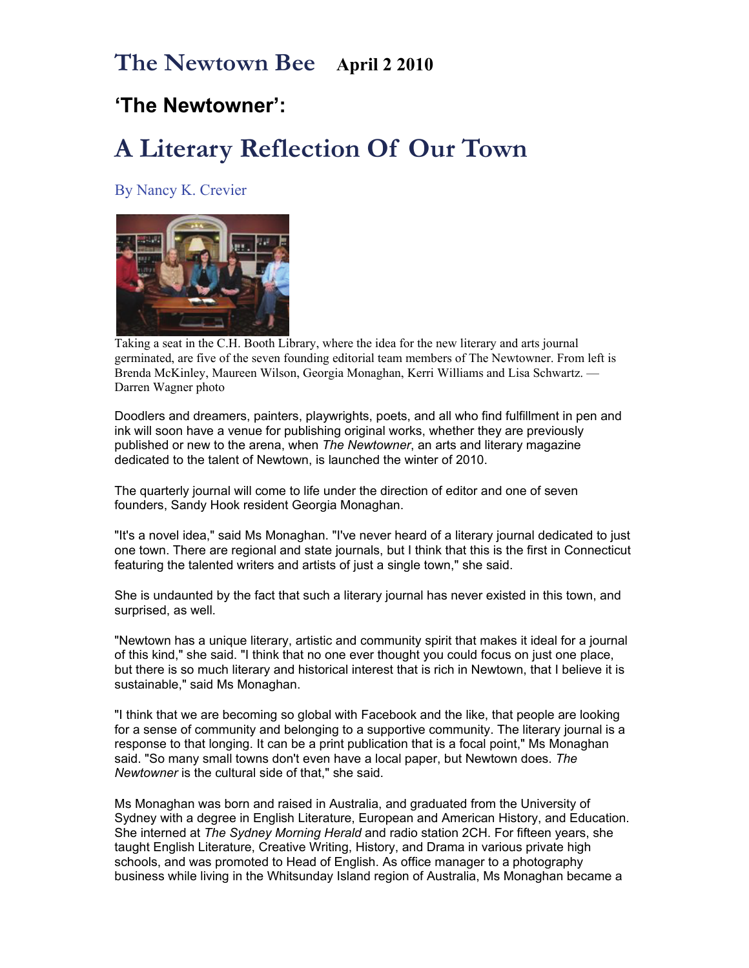## **The Newtown Bee April 2 2010**

## **'The Newtowner':**

## **A Literary Reflection Of Our Town**

By Nancy K. Crevier



Taking a seat in the C.H. Booth Library, where the idea for the new literary and arts journal germinated, are five of the seven founding editorial team members of The Newtowner. From left is Brenda McKinley, Maureen Wilson, Georgia Monaghan, Kerri Williams and Lisa Schwartz. — Darren Wagner photo

Doodlers and dreamers, painters, playwrights, poets, and all who find fulfillment in pen and ink will soon have a venue for publishing original works, whether they are previously published or new to the arena, when *The Newtowner*, an arts and literary magazine dedicated to the talent of Newtown, is launched the winter of 2010.

The quarterly journal will come to life under the direction of editor and one of seven founders, Sandy Hook resident Georgia Monaghan.

"It's a novel idea," said Ms Monaghan. "I've never heard of a literary journal dedicated to just one town. There are regional and state journals, but I think that this is the first in Connecticut featuring the talented writers and artists of just a single town," she said.

She is undaunted by the fact that such a literary journal has never existed in this town, and surprised, as well.

"Newtown has a unique literary, artistic and community spirit that makes it ideal for a journal of this kind," she said. "I think that no one ever thought you could focus on just one place, but there is so much literary and historical interest that is rich in Newtown, that I believe it is sustainable," said Ms Monaghan.

"I think that we are becoming so global with Facebook and the like, that people are looking for a sense of community and belonging to a supportive community. The literary journal is a response to that longing. It can be a print publication that is a focal point," Ms Monaghan said. "So many small towns don't even have a local paper, but Newtown does. *The Newtowner* is the cultural side of that," she said.

Ms Monaghan was born and raised in Australia, and graduated from the University of Sydney with a degree in English Literature, European and American History, and Education. She interned at *The Sydney Morning Herald* and radio station 2CH. For fifteen years, she taught English Literature, Creative Writing, History, and Drama in various private high schools, and was promoted to Head of English. As office manager to a photography business while living in the Whitsunday Island region of Australia, Ms Monaghan became a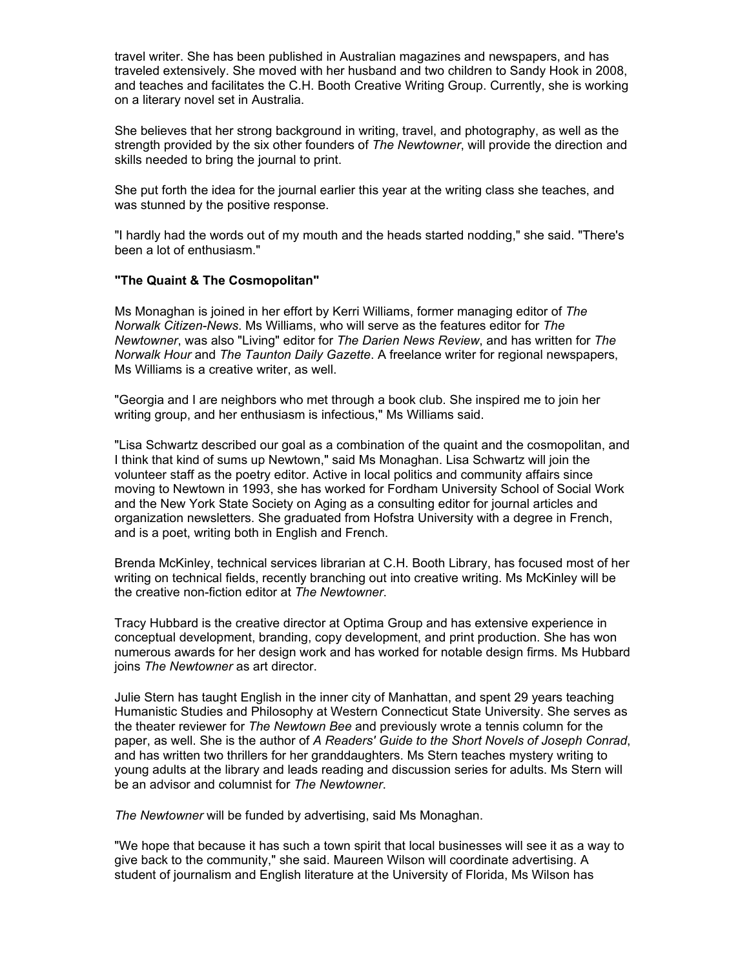travel writer. She has been published in Australian magazines and newspapers, and has traveled extensively. She moved with her husband and two children to Sandy Hook in 2008, and teaches and facilitates the C.H. Booth Creative Writing Group. Currently, she is working on a literary novel set in Australia.

She believes that her strong background in writing, travel, and photography, as well as the strength provided by the six other founders of *The Newtowner*, will provide the direction and skills needed to bring the journal to print.

She put forth the idea for the journal earlier this year at the writing class she teaches, and was stunned by the positive response.

"I hardly had the words out of my mouth and the heads started nodding," she said. "There's been a lot of enthusiasm."

## **"The Quaint & The Cosmopolitan"**

Ms Monaghan is joined in her effort by Kerri Williams, former managing editor of *The Norwalk Citizen-News*. Ms Williams, who will serve as the features editor for *The Newtowner*, was also "Living" editor for *The Darien News Review*, and has written for *The Norwalk Hour* and *The Taunton Daily Gazette*. A freelance writer for regional newspapers, Ms Williams is a creative writer, as well.

"Georgia and I are neighbors who met through a book club. She inspired me to join her writing group, and her enthusiasm is infectious," Ms Williams said.

"Lisa Schwartz described our goal as a combination of the quaint and the cosmopolitan, and I think that kind of sums up Newtown," said Ms Monaghan. Lisa Schwartz will join the volunteer staff as the poetry editor. Active in local politics and community affairs since moving to Newtown in 1993, she has worked for Fordham University School of Social Work and the New York State Society on Aging as a consulting editor for journal articles and organization newsletters. She graduated from Hofstra University with a degree in French, and is a poet, writing both in English and French.

Brenda McKinley, technical services librarian at C.H. Booth Library, has focused most of her writing on technical fields, recently branching out into creative writing. Ms McKinley will be the creative non-fiction editor at *The Newtowner*.

Tracy Hubbard is the creative director at Optima Group and has extensive experience in conceptual development, branding, copy development, and print production. She has won numerous awards for her design work and has worked for notable design firms. Ms Hubbard joins *The Newtowner* as art director.

Julie Stern has taught English in the inner city of Manhattan, and spent 29 years teaching Humanistic Studies and Philosophy at Western Connecticut State University. She serves as the theater reviewer for *The Newtown Bee* and previously wrote a tennis column for the paper, as well. She is the author of *A Readers' Guide to the Short Novels of Joseph Conrad*, and has written two thrillers for her granddaughters. Ms Stern teaches mystery writing to young adults at the library and leads reading and discussion series for adults. Ms Stern will be an advisor and columnist for *The Newtowner*.

*The Newtowner* will be funded by advertising, said Ms Monaghan.

"We hope that because it has such a town spirit that local businesses will see it as a way to give back to the community," she said. Maureen Wilson will coordinate advertising. A student of journalism and English literature at the University of Florida, Ms Wilson has